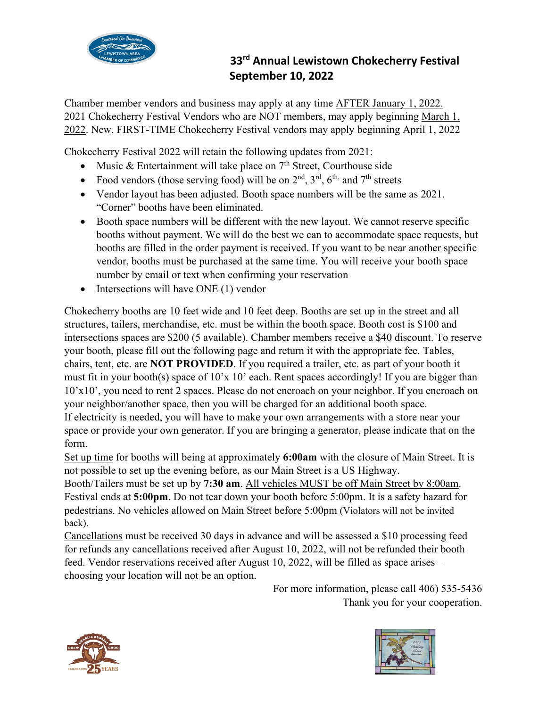

## **33rd Annual Lewistown Chokecherry Festival September 10, 2022**

Chamber member vendors and business may apply at any time AFTER January 1, 2022. 2021 Chokecherry Festival Vendors who are NOT members, may apply beginning March 1, 2022. New, FIRST-TIME Chokecherry Festival vendors may apply beginning April 1, 2022

Chokecherry Festival 2022 will retain the following updates from 2021:

- Music & Entertainment will take place on  $7<sup>th</sup>$  Street, Courthouse side
- Food vendors (those serving food) will be on  $2<sup>nd</sup>$ ,  $3<sup>rd</sup>$ ,  $6<sup>th</sup>$ , and  $7<sup>th</sup>$  streets
- Vendor layout has been adjusted. Booth space numbers will be the same as 2021. "Corner" booths have been eliminated.
- Booth space numbers will be different with the new layout. We cannot reserve specific booths without payment. We will do the best we can to accommodate space requests, but booths are filled in the order payment is received. If you want to be near another specific vendor, booths must be purchased at the same time. You will receive your booth space number by email or text when confirming your reservation
- Intersections will have ONE (1) vendor

Chokecherry booths are 10 feet wide and 10 feet deep. Booths are set up in the street and all structures, tailers, merchandise, etc. must be within the booth space. Booth cost is \$100 and intersections spaces are \$200 (5 available). Chamber members receive a \$40 discount. To reserve your booth, please fill out the following page and return it with the appropriate fee. Tables, chairs, tent, etc. are **NOT PROVIDED**. If you required a trailer, etc. as part of your booth it must fit in your booth(s) space of 10'x 10' each. Rent spaces accordingly! If you are bigger than 10'x10', you need to rent 2 spaces. Please do not encroach on your neighbor. If you encroach on your neighbor/another space, then you will be charged for an additional booth space. If electricity is needed, you will have to make your own arrangements with a store near your space or provide your own generator. If you are bringing a generator, please indicate that on the form.

Set up time for booths will being at approximately **6:00am** with the closure of Main Street. It is not possible to set up the evening before, as our Main Street is a US Highway.

Booth/Tailers must be set up by **7:30 am**. All vehicles MUST be off Main Street by 8:00am. Festival ends at **5:00pm**. Do not tear down your booth before 5:00pm. It is a safety hazard for pedestrians. No vehicles allowed on Main Street before 5:00pm (Violators will not be invited back).

Cancellations must be received 30 days in advance and will be assessed a \$10 processing feed for refunds any cancellations received after August 10, 2022, will not be refunded their booth feed. Vendor reservations received after August 10, 2022, will be filled as space arises – choosing your location will not be an option.

> For more information, please call 406) 535-5436 Thank you for your cooperation.